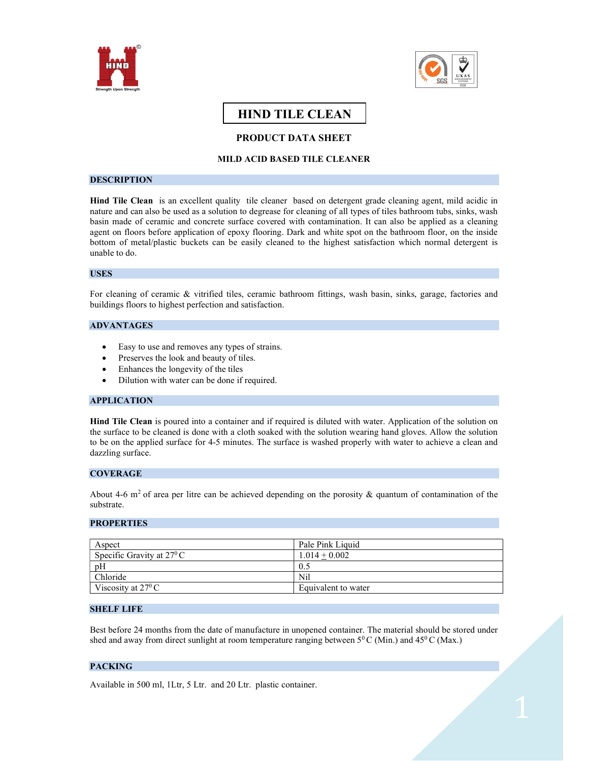



# HIND TILE CLEAN

# PRODUCT DATA SHEET

# MILD ACID BASED TILE CLEANER

## **DESCRIPTION**

Hind Tile Clean is an excellent quality tile cleaner based on detergent grade cleaning agent, mild acidic in nature and can also be used as a solution to degrease for cleaning of all types of tiles bathroom tubs, sinks, wash basin made of ceramic and concrete surface covered with contamination. It can also be applied as a cleaning agent on floors before application of epoxy flooring. Dark and white spot on the bathroom floor, on the inside bottom of metal/plastic buckets can be easily cleaned to the highest satisfaction which normal detergent is unable to do.

## USES

For cleaning of ceramic & vitrified tiles, ceramic bathroom fittings, wash basin, sinks, garage, factories and buildings floors to highest perfection and satisfaction.

#### ADVANTAGES

- Easy to use and removes any types of strains.
- Preserves the look and beauty of tiles.
- Enhances the longevity of the tiles
- Dilution with water can be done if required.

#### APPLICATION

Hind Tile Clean is poured into a container and if required is diluted with water. Application of the solution on the surface to be cleaned is done with a cloth soaked with the solution wearing hand gloves. Allow the solution to be on the applied surface for 4-5 minutes. The surface is washed properly with water to achieve a clean and dazzling surface.

#### **COVERAGE**

About 4-6 m<sup>2</sup> of area per litre can be achieved depending on the porosity & quantum of contamination of the substrate.

## **PROPERTIES**

| Aspect                             | Pale Pink Liquid    |  |
|------------------------------------|---------------------|--|
| Specific Gravity at $27^{\circ}$ C | $1.014 + 0.002$     |  |
| pH                                 | 0.5                 |  |
| Chloride                           | Nil                 |  |
| Viscosity at $27^{\circ}$ C        | Equivalent to water |  |

# SHELF LIFE

Best before 24 months from the date of manufacture in unopened container. The material should be stored under shed and away from direct sunlight at room temperature ranging between  $5^0$ C (Min.) and  $45^0$ C (Max.)

## PACKING

Available in 500 ml, 1Ltr, 5 Ltr. and 20 Ltr. plastic container.